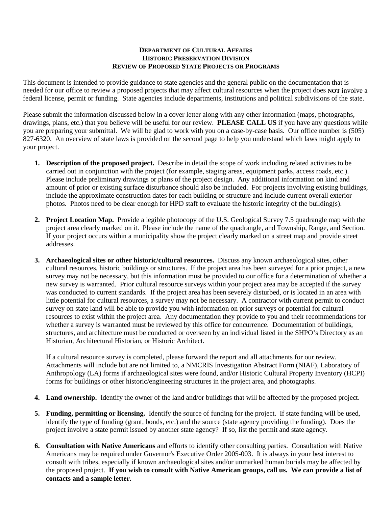## **DEPARTMENT OF CULTURAL AFFAIRS HISTORIC PRESERVATION DIVISION REVIEW OF PROPOSED STATE PROJECTS OR PROGRAMS**

This document is intended to provide guidance to state agencies and the general public on the documentation that is needed for our office to review a proposed projects that may affect cultural resources when the project does **NOT** involve a federal license, permit or funding. State agencies include departments, institutions and political subdivisions of the state.

Please submit the information discussed below in a cover letter along with any other information (maps, photographs, drawings, plans, etc.) that you believe will be useful for our review. **PLEASE CALL US** if you have any questions while you are preparing your submittal. We will be glad to work with you on a case-by-case basis. Our office number is (505) 827-6320. An overview of state laws is provided on the second page to help you understand which laws might apply to your project.

- **1. Description of the proposed project.** Describe in detail the scope of work including related activities to be carried out in conjunction with the project (for example, staging areas, equipment parks, access roads, etc.). Please include preliminary drawings or plans of the project design. Any additional information on kind and amount of prior or existing surface disturbance should also be included. For projects involving existing buildings, include the approximate construction dates for each building or structure and include current overall exterior photos. Photos need to be clear enough for HPD staff to evaluate the historic integrity of the building(s).
- **2. Project Location Map.** Provide a legible photocopy of the U.S. Geological Survey 7.5 quadrangle map with the project area clearly marked on it. Please include the name of the quadrangle, and Township, Range, and Section. If your project occurs within a municipality show the project clearly marked on a street map and provide street addresses.
- **3. Archaeological sites or other historic/cultural resources.** Discuss any known archaeological sites, other cultural resources, historic buildings or structures. If the project area has been surveyed for a prior project, a new survey may not be necessary, but this information must be provided to our office for a determination of whether a new survey is warranted. Prior cultural resource surveys within your project area may be accepted if the survey was conducted to current standards. If the project area has been severely disturbed, or is located in an area with little potential for cultural resources, a survey may not be necessary. A contractor with current permit to conduct survey on state land will be able to provide you with information on prior surveys or potential for cultural resources to exist within the project area. Any documentation they provide to you and their recommendations for whether a survey is warranted must be reviewed by this office for concurrence. Documentation of buildings, structures, and architecture must be conducted or overseen by an individual listed in the SHPO's Directory as an Historian, Architectural Historian, or Historic Architect.

If a cultural resource survey is completed, please forward the report and all attachments for our review. Attachments will include but are not limited to, a NMCRIS Investigation Abstract Form (NIAF), Laboratory of Anthropology (LA) forms if archaeological sites were found, and/or Historic Cultural Property Inventory (HCPI) forms for buildings or other historic/engineering structures in the project area, and photographs.

- **4. Land ownership.** Identify the owner of the land and/or buildings that will be affected by the proposed project.
- **5. Funding, permitting or licensing.** Identify the source of funding for the project. If state funding will be used, identify the type of funding (grant, bonds, etc.) and the source (state agency providing the funding). Does the project involve a state permit issued by another state agency? If so, list the permit and state agency.
- **6. Consultation with Native Americans** and efforts to identify other consulting parties. Consultation with Native Americans may be required under Governor's Executive Order 2005-003. It is always in your best interest to consult with tribes, especially if known archaeological sites and/or unmarked human burials may be affected by the proposed project. **If you wish to consult with Native American groups, call us. We can provide a list of contacts and a sample letter.**